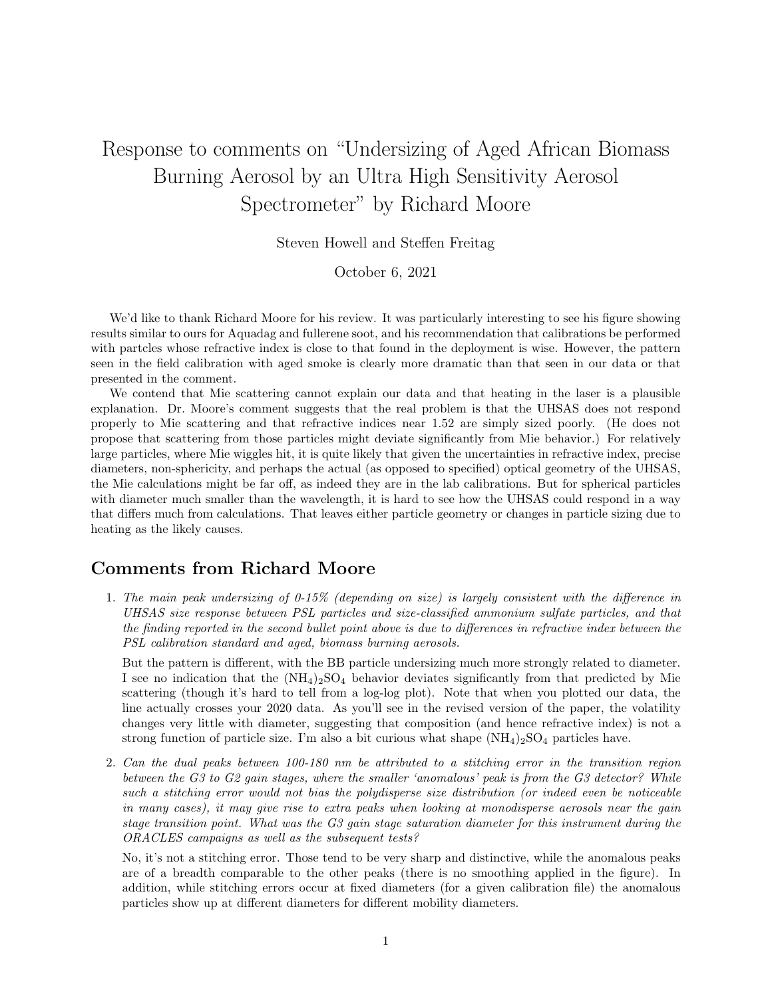## Response to comments on "Undersizing of Aged African Biomass Burning Aerosol by an Ultra High Sensitivity Aerosol Spectrometer" by Richard Moore

Steven Howell and Steffen Freitag

October 6, 2021

We'd like to thank Richard Moore for his review. It was particularly interesting to see his figure showing results similar to ours for Aquadag and fullerene soot, and his recommendation that calibrations be performed with partcles whose refractive index is close to that found in the deployment is wise. However, the pattern seen in the field calibration with aged smoke is clearly more dramatic than that seen in our data or that presented in the comment.

We contend that Mie scattering cannot explain our data and that heating in the laser is a plausible explanation. Dr. Moore's comment suggests that the real problem is that the UHSAS does not respond properly to Mie scattering and that refractive indices near 1.52 are simply sized poorly. (He does not propose that scattering from those particles might deviate significantly from Mie behavior.) For relatively large particles, where Mie wiggles hit, it is quite likely that given the uncertainties in refractive index, precise diameters, non-sphericity, and perhaps the actual (as opposed to specified) optical geometry of the UHSAS, the Mie calculations might be far off, as indeed they are in the lab calibrations. But for spherical particles with diameter much smaller than the wavelength, it is hard to see how the UHSAS could respond in a way that differs much from calculations. That leaves either particle geometry or changes in particle sizing due to heating as the likely causes.

## Comments from Richard Moore

1. The main peak undersizing of 0-15% (depending on size) is largely consistent with the difference in UHSAS size response between PSL particles and size-classified ammonium sulfate particles, and that the finding reported in the second bullet point above is due to differences in refractive index between the PSL calibration standard and aged, biomass burning aerosols.

But the pattern is different, with the BB particle undersizing much more strongly related to diameter. I see no indication that the  $(NH_4)_2SO_4$  behavior deviates significantly from that predicted by Mie scattering (though it's hard to tell from a log-log plot). Note that when you plotted our data, the line actually crosses your 2020 data. As you'll see in the revised version of the paper, the volatility changes very little with diameter, suggesting that composition (and hence refractive index) is not a strong function of particle size. I'm also a bit curious what shape  $(NH_4)_2SO_4$  particles have.

2. Can the dual peaks between 100-180 nm be attributed to a stitching error in the transition region between the G3 to G2 gain stages, where the smaller 'anomalous' peak is from the G3 detector? While such a stitching error would not bias the polydisperse size distribution (or indeed even be noticeable in many cases), it may give rise to extra peaks when looking at monodisperse aerosols near the gain stage transition point. What was the G3 gain stage saturation diameter for this instrument during the ORACLES campaigns as well as the subsequent tests?

No, it's not a stitching error. Those tend to be very sharp and distinctive, while the anomalous peaks are of a breadth comparable to the other peaks (there is no smoothing applied in the figure). In addition, while stitching errors occur at fixed diameters (for a given calibration file) the anomalous particles show up at different diameters for different mobility diameters.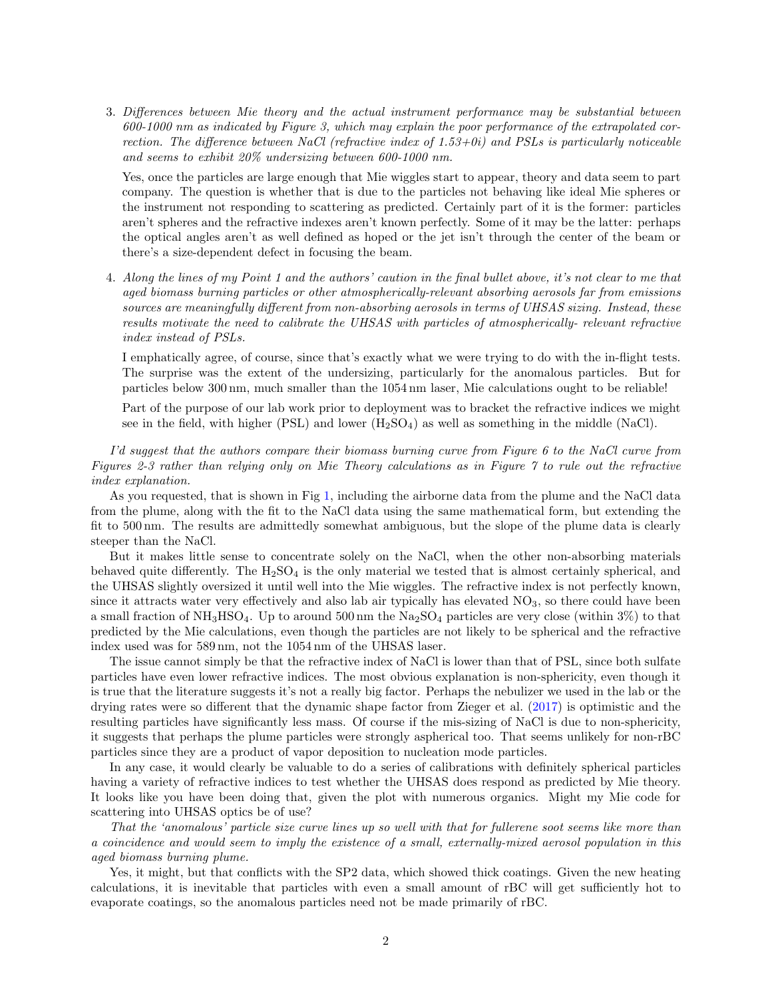3. Differences between Mie theory and the actual instrument performance may be substantial between 600-1000 nm as indicated by Figure 3, which may explain the poor performance of the extrapolated correction. The difference between NaCl (refractive index of  $1.53+0i$ ) and PSLs is particularly noticeable and seems to exhibit 20% undersizing between 600-1000 nm.

Yes, once the particles are large enough that Mie wiggles start to appear, theory and data seem to part company. The question is whether that is due to the particles not behaving like ideal Mie spheres or the instrument not responding to scattering as predicted. Certainly part of it is the former: particles aren't spheres and the refractive indexes aren't known perfectly. Some of it may be the latter: perhaps the optical angles aren't as well defined as hoped or the jet isn't through the center of the beam or there's a size-dependent defect in focusing the beam.

4. Along the lines of my Point 1 and the authors' caution in the final bullet above, it's not clear to me that aged biomass burning particles or other atmospherically-relevant absorbing aerosols far from emissions sources are meaningfully different from non-absorbing aerosols in terms of UHSAS sizing. Instead, these results motivate the need to calibrate the UHSAS with particles of atmospherically- relevant refractive index instead of PSLs.

I emphatically agree, of course, since that's exactly what we were trying to do with the in-flight tests. The surprise was the extent of the undersizing, particularly for the anomalous particles. But for particles below 300 nm, much smaller than the 1054 nm laser, Mie calculations ought to be reliable!

Part of the purpose of our lab work prior to deployment was to bracket the refractive indices we might see in the field, with higher (PSL) and lower  $(H_2SO_4)$  as well as something in the middle (NaCl).

I'd suggest that the authors compare their biomass burning curve from Figure 6 to the NaCl curve from Figures 2-3 rather than relying only on Mie Theory calculations as in Figure 7 to rule out the refractive index explanation.

As you requested, that is shown in Fig [1,](#page-2-0) including the airborne data from the plume and the NaCl data from the plume, along with the fit to the NaCl data using the same mathematical form, but extending the fit to 500 nm. The results are admittedly somewhat ambiguous, but the slope of the plume data is clearly steeper than the NaCl.

But it makes little sense to concentrate solely on the NaCl, when the other non-absorbing materials behaved quite differently. The  $H_2SO_4$  is the only material we tested that is almost certainly spherical, and the UHSAS slightly oversized it until well into the Mie wiggles. The refractive index is not perfectly known, since it attracts water very effectively and also lab air typically has elevated  $NO<sub>3</sub>$ , so there could have been a small fraction of  $NH_3HSO_4$ . Up to around 500 nm the  $Na_2SO_4$  particles are very close (within 3%) to that predicted by the Mie calculations, even though the particles are not likely to be spherical and the refractive index used was for 589 nm, not the 1054 nm of the UHSAS laser.

The issue cannot simply be that the refractive index of NaCl is lower than that of PSL, since both sulfate particles have even lower refractive indices. The most obvious explanation is non-sphericity, even though it is true that the literature suggests it's not a really big factor. Perhaps the nebulizer we used in the lab or the drying rates were so different that the dynamic shape factor from Zieger et al. [\(2017\)](#page-3-0) is optimistic and the resulting particles have significantly less mass. Of course if the mis-sizing of NaCl is due to non-sphericity, it suggests that perhaps the plume particles were strongly aspherical too. That seems unlikely for non-rBC particles since they are a product of vapor deposition to nucleation mode particles.

In any case, it would clearly be valuable to do a series of calibrations with definitely spherical particles having a variety of refractive indices to test whether the UHSAS does respond as predicted by Mie theory. It looks like you have been doing that, given the plot with numerous organics. Might my Mie code for scattering into UHSAS optics be of use?

That the 'anomalous' particle size curve lines up so well with that for fullerene soot seems like more than a coincidence and would seem to imply the existence of a small, externally-mixed aerosol population in this aged biomass burning plume.

Yes, it might, but that conflicts with the SP2 data, which showed thick coatings. Given the new heating calculations, it is inevitable that particles with even a small amount of rBC will get sufficiently hot to evaporate coatings, so the anomalous particles need not be made primarily of rBC.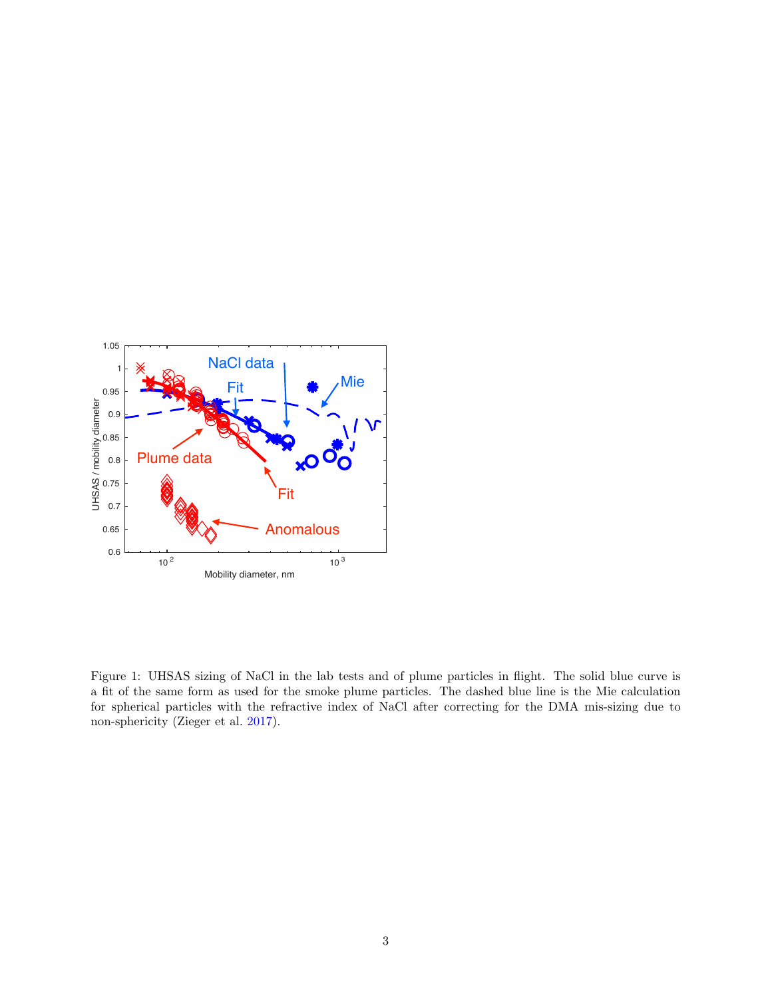

<span id="page-2-0"></span>Figure 1: UHSAS sizing of NaCl in the lab tests and of plume particles in flight. The solid blue curve is a fit of the same form as used for the smoke plume particles. The dashed blue line is the Mie calculation for spherical particles with the refractive index of NaCl after correcting for the DMA mis-sizing due to non-sphericity (Zieger et al. [2017\)](#page-3-0).